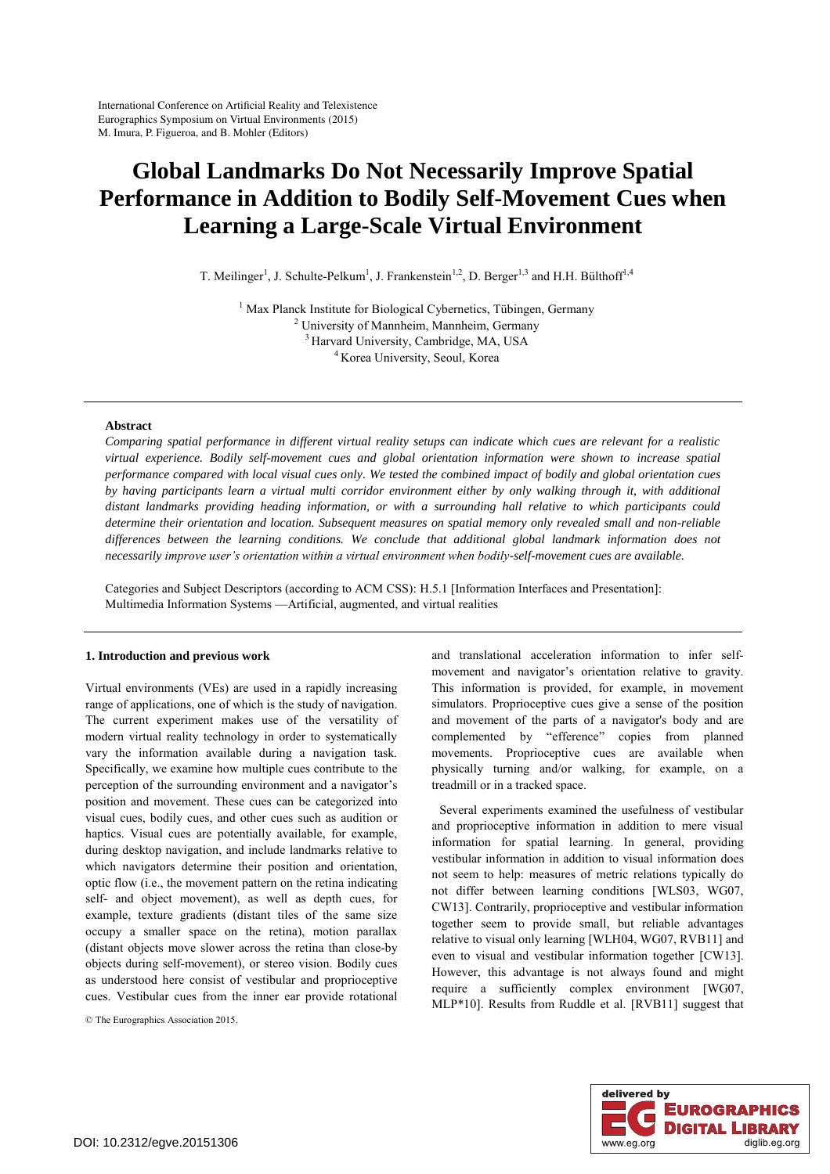# **Global Landmarks Do Not Necessarily Improve Spatial Performance in Addition to Bodily Self-Movement Cues when Learning a Large-Scale Virtual Environment**

T. Meilinger<sup>1</sup>, J. Schulte-Pelkum<sup>1</sup>, J. Frankenstein<sup>1,2</sup>, D. Berger<sup>1,3</sup> and H.H. Bülthoff<sup>1,4</sup>

<sup>1</sup> Max Planck Institute for Biological Cybernetics, Tübingen, Germany <sup>2</sup> University of Mannhaim Carmany <sup>2</sup> University of Mannheim, Mannheim, Germany  $3$  Harvard University, Cambridge, MA, USA  $4$  Korea University, Seoul, Korea

## **Abstract**

*Comparing spatial performance in different virtual reality setups can indicate which cues are relevant for a realistic virtual experience. Bodily self-movement cues and global orientation information were shown to increase spatial performance compared with local visual cues only. We tested the combined impact of bodily and global orientation cues by having participants learn a virtual multi corridor environment either by only walking through it, with additional distant landmarks providing heading information, or with a surrounding hall relative to which participants could determine their orientation and location. Subsequent measures on spatial memory only revealed small and non-reliable*  differences between the learning conditions. We conclude that additional global landmark information does not *necessarily improve user's orientation within a virtual environment when bodily-self-movement cues are available.* 

Categories and Subject Descriptors (according to ACM CSS): H.5.1 [Information Interfaces and Presentation]: Multimedia Information Systems —Artificial, augmented, and virtual realities

## **1. Introduction and previous work**

Virtual environments (VEs) are used in a rapidly increasing range of applications, one of which is the study of navigation. The current experiment makes use of the versatility of modern virtual reality technology in order to systematically vary the information available during a navigation task. Specifically, we examine how multiple cues contribute to the perception of the surrounding environment and a navigator's position and movement. These cues can be categorized into visual cues, bodily cues, and other cues such as audition or haptics. Visual cues are potentially available, for example, during desktop navigation, and include landmarks relative to which navigators determine their position and orientation, optic flow (i.e., the movement pattern on the retina indicating self- and object movement), as well as depth cues, for example, texture gradients (distant tiles of the same size occupy a smaller space on the retina), motion parallax (distant objects move slower across the retina than close-by objects during self-movement), or stereo vision. Bodily cues as understood here consist of vestibular and proprioceptive cues. Vestibular cues from the inner ear provide rotational

© The Eurographics Association 2015.

and translational acceleration information to infer selfmovement and navigator's orientation relative to gravity. This information is provided, for example, in movement simulators. Proprioceptive cues give a sense of the position and movement of the parts of a navigator's body and are complemented by "efference" copies from planned movements. Proprioceptive cues are available when physically turning and/or walking, for example, on a treadmill or in a tracked space.

Several experiments examined the usefulness of vestibular and proprioceptive information in addition to mere visual information for spatial learning. In general, providing vestibular information in addition to visual information does not seem to help: measures of metric relations typically do not differ between learning conditions [WLS03, WG07, CW13]. Contrarily, proprioceptive and vestibular information together seem to provide small, but reliable advantages relative to visual only learning [WLH04, WG07, RVB11] and even to visual and vestibular information together [CW13]. However, this advantage is not always found and might require a sufficiently complex environment [WG07, MLP\*10]. Results from Ruddle et al. [RVB11] suggest that

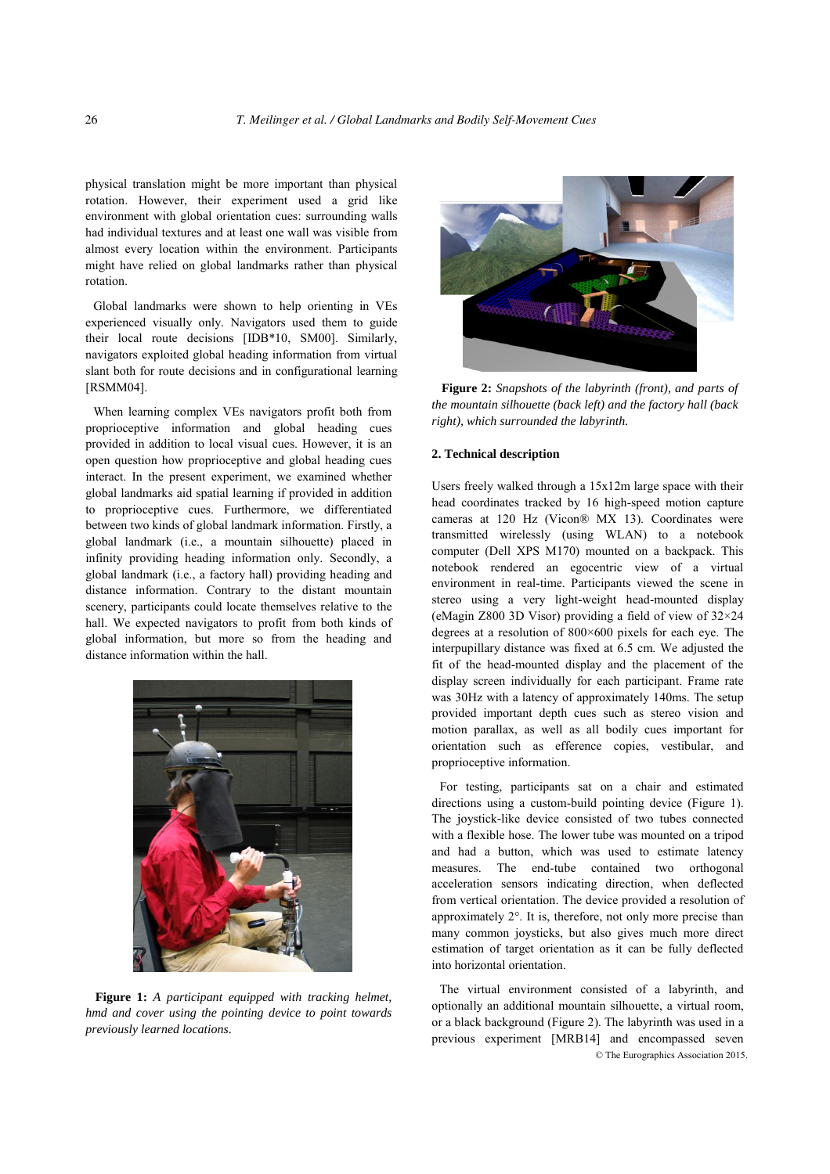physical translation might be more important than physical rotation. However, their experiment used a grid like environment with global orientation cues: surrounding walls had individual textures and at least one wall was visible from almost every location within the environment. Participants might have relied on global landmarks rather than physical rotation.

Global landmarks were shown to help orienting in VEs experienced visually only. Navigators used them to guide their local route decisions [IDB\*10, SM00]. Similarly, navigators exploited global heading information from virtual slant both for route decisions and in configurational learning [RSMM04].

When learning complex VEs navigators profit both from proprioceptive information and global heading cues provided in addition to local visual cues. However, it is an open question how proprioceptive and global heading cues interact. In the present experiment, we examined whether global landmarks aid spatial learning if provided in addition to proprioceptive cues. Furthermore, we differentiated between two kinds of global landmark information. Firstly, a global landmark (i.e., a mountain silhouette) placed in infinity providing heading information only. Secondly, a global landmark (i.e., a factory hall) providing heading and distance information. Contrary to the distant mountain scenery, participants could locate themselves relative to the hall. We expected navigators to profit from both kinds of global information, but more so from the heading and distance information within the hall.



**Figure 1:** *A participant equipped with tracking helmet, hmd and cover using the pointing device to point towards previously learned locations.* 



**Figure 2:** *Snapshots of the labyrinth (front), and parts of the mountain silhouette (back left) and the factory hall (back right), which surrounded the labyrinth.* 

## **2. Technical description**

Users freely walked through a 15x12m large space with their head coordinates tracked by 16 high-speed motion capture cameras at 120 Hz (Vicon® MX 13). Coordinates were transmitted wirelessly (using WLAN) to a notebook computer (Dell XPS M170) mounted on a backpack. This notebook rendered an egocentric view of a virtual environment in real-time. Participants viewed the scene in stereo using a very light-weight head-mounted display (eMagin Z800 3D Visor) providing a field of view of 32×24 degrees at a resolution of 800×600 pixels for each eye. The interpupillary distance was fixed at 6.5 cm. We adjusted the fit of the head-mounted display and the placement of the display screen individually for each participant. Frame rate was 30Hz with a latency of approximately 140ms. The setup provided important depth cues such as stereo vision and motion parallax, as well as all bodily cues important for orientation such as efference copies, vestibular, and proprioceptive information.

For testing, participants sat on a chair and estimated directions using a custom-build pointing device (Figure 1). The joystick-like device consisted of two tubes connected with a flexible hose. The lower tube was mounted on a tripod and had a button, which was used to estimate latency measures. The end-tube contained two orthogonal acceleration sensors indicating direction, when deflected from vertical orientation. The device provided a resolution of approximately 2°. It is, therefore, not only more precise than many common joysticks, but also gives much more direct estimation of target orientation as it can be fully deflected into horizontal orientation.

© The Eurographics Association 2015. The virtual environment consisted of a labyrinth, and optionally an additional mountain silhouette, a virtual room, or a black background (Figure 2). The labyrinth was used in a previous experiment [MRB14] and encompassed seven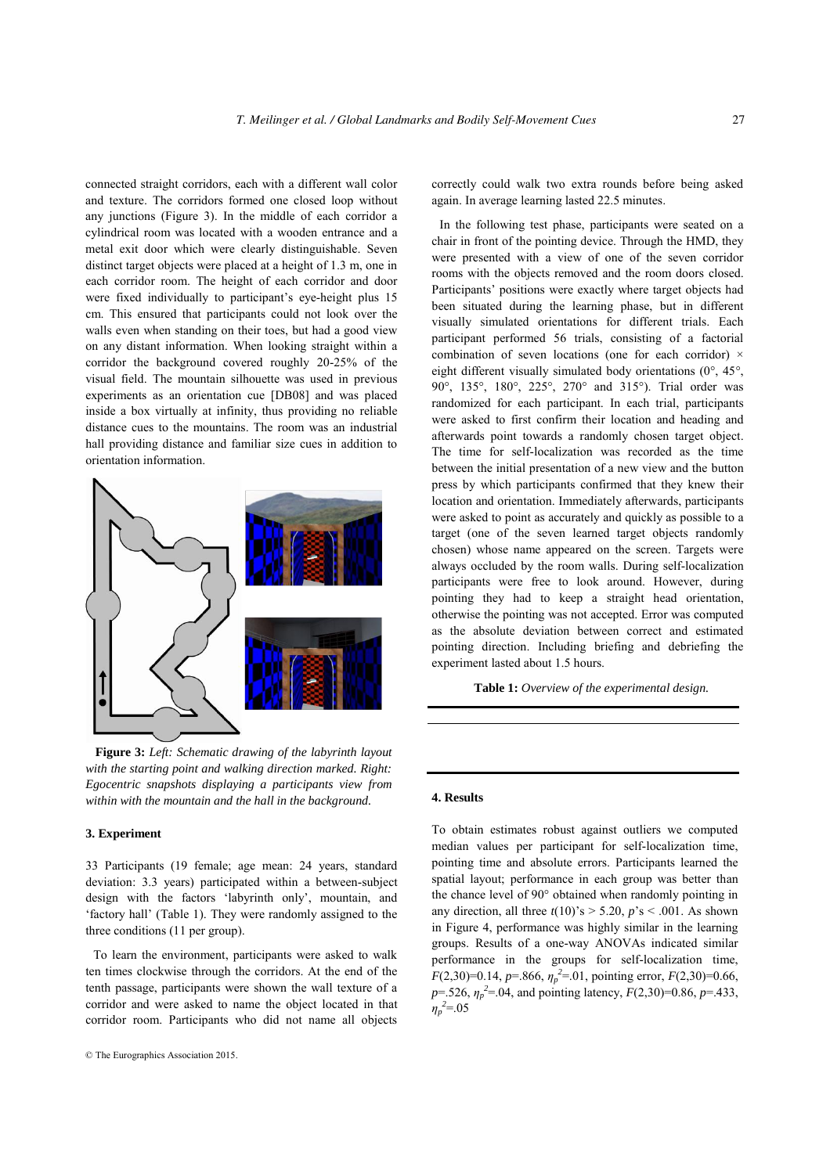connected straight corridors, each with a different wall color and texture. The corridors formed one closed loop without any junctions (Figure 3). In the middle of each corridor a cylindrical room was located with a wooden entrance and a metal exit door which were clearly distinguishable. Seven distinct target objects were placed at a height of 1.3 m, one in each corridor room. The height of each corridor and door were fixed individually to participant's eye-height plus 15 cm. This ensured that participants could not look over the walls even when standing on their toes, but had a good view on any distant information. When looking straight within a corridor the background covered roughly 20-25% of the visual field. The mountain silhouette was used in previous experiments as an orientation cue [DB08] and was placed inside a box virtually at infinity, thus providing no reliable distance cues to the mountains. The room was an industrial hall providing distance and familiar size cues in addition to orientation information.



**Figure 3:** *Left: Schematic drawing of the labyrinth layout with the starting point and walking direction marked. Right: Egocentric snapshots displaying a participants view from within with the mountain and the hall in the background.* 

## **3. Experiment**

33 Participants (19 female; age mean: 24 years, standard deviation: 3.3 years) participated within a between-subject design with the factors 'labyrinth only', mountain, and 'factory hall' (Table 1). They were randomly assigned to the three conditions (11 per group).

To learn the environment, participants were asked to walk ten times clockwise through the corridors. At the end of the tenth passage, participants were shown the wall texture of a corridor and were asked to name the object located in that corridor room. Participants who did not name all objects

correctly could walk two extra rounds before being asked again. In average learning lasted 22.5 minutes.

In the following test phase, participants were seated on a chair in front of the pointing device. Through the HMD, they were presented with a view of one of the seven corridor rooms with the objects removed and the room doors closed. Participants' positions were exactly where target objects had been situated during the learning phase, but in different visually simulated orientations for different trials. Each participant performed 56 trials, consisting of a factorial combination of seven locations (one for each corridor)  $\times$ eight different visually simulated body orientations (0°, 45°, 90°, 135°, 180°, 225°, 270° and 315°). Trial order was randomized for each participant. In each trial, participants were asked to first confirm their location and heading and afterwards point towards a randomly chosen target object. The time for self-localization was recorded as the time between the initial presentation of a new view and the button press by which participants confirmed that they knew their location and orientation. Immediately afterwards, participants were asked to point as accurately and quickly as possible to a target (one of the seven learned target objects randomly chosen) whose name appeared on the screen. Targets were always occluded by the room walls. During self-localization participants were free to look around. However, during pointing they had to keep a straight head orientation, otherwise the pointing was not accepted. Error was computed as the absolute deviation between correct and estimated pointing direction. Including briefing and debriefing the experiment lasted about 1.5 hours.

**Table 1:** *Overview of the experimental design.*

### **4. Results**

To obtain estimates robust against outliers we computed median values per participant for self-localization time, pointing time and absolute errors. Participants learned the spatial layout; performance in each group was better than the chance level of 90° obtained when randomly pointing in any direction, all three  $t(10)$ 's  $> 5.20$ ,  $p$ 's  $< .001$ . As shown in Figure 4, performance was highly similar in the learning groups. Results of a one-way ANOVAs indicated similar performance in the groups for self-localization time, *F*(2,30)=0.14, *p*=.866,  $\eta_p^2$ =.01, pointing error, *F*(2,30)=0.66,  $p = 0.526$ ,  $\eta_p^2 = 0.04$ , and pointing latency,  $F(2,30) = 0.86$ ,  $p = 0.433$ ,  $\eta_p^2 = 0.05$